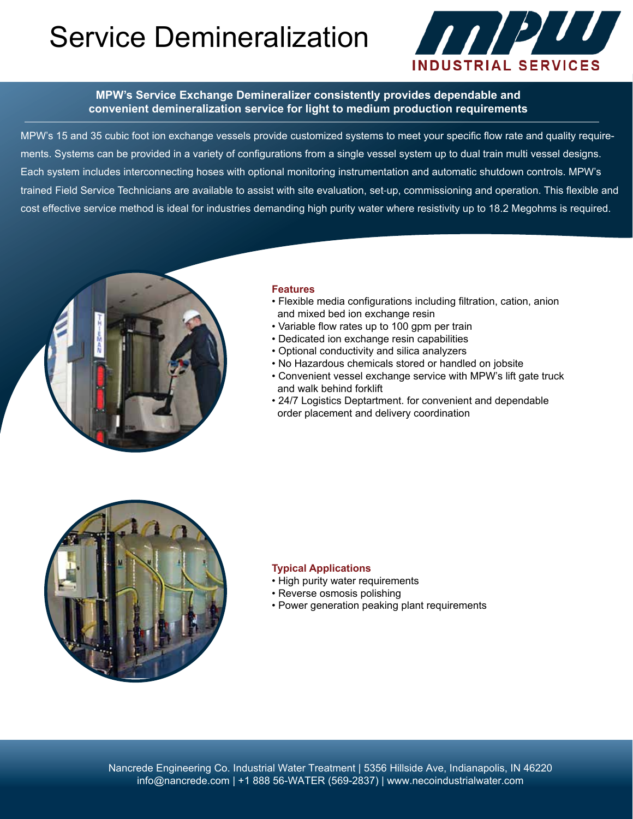# Service Demineralization



## **MPW's Service Exchange Demineralizer consistently provides dependable and convenient demineralization service for light to medium production requirements**

MPW's 15 and 35 cubic foot ion exchange vessels provide customized systems to meet your specific flow rate and quality requirements. Systems can be provided in a variety of configurations from a single vessel system up to dual train multi vessel designs. Each system includes interconnecting hoses with optional monitoring instrumentation and automatic shutdown controls. MPW's trained Field Service Technicians are available to assist with site evaluation, set‐up, commissioning and operation. This flexible and cost effective service method is ideal for industries demanding high purity water where resistivity up to 18.2 Megohms is required.



### **Features**

- Flexible media configurations including filtration, cation, anion and mixed bed ion exchange resin
- Variable flow rates up to 100 gpm per train
- Dedicated ion exchange resin capabilities
- Optional conductivity and silica analyzers
- No Hazardous chemicals stored or handled on jobsite
- Convenient vessel exchange service with MPW's lift gate truck and walk behind forklift
- 24/7 Logistics Deptartment. for convenient and dependable order placement and delivery coordination



### **Typical Applications**

- High purity water requirements
- Reverse osmosis polishing
- Power generation peaking plant requirements